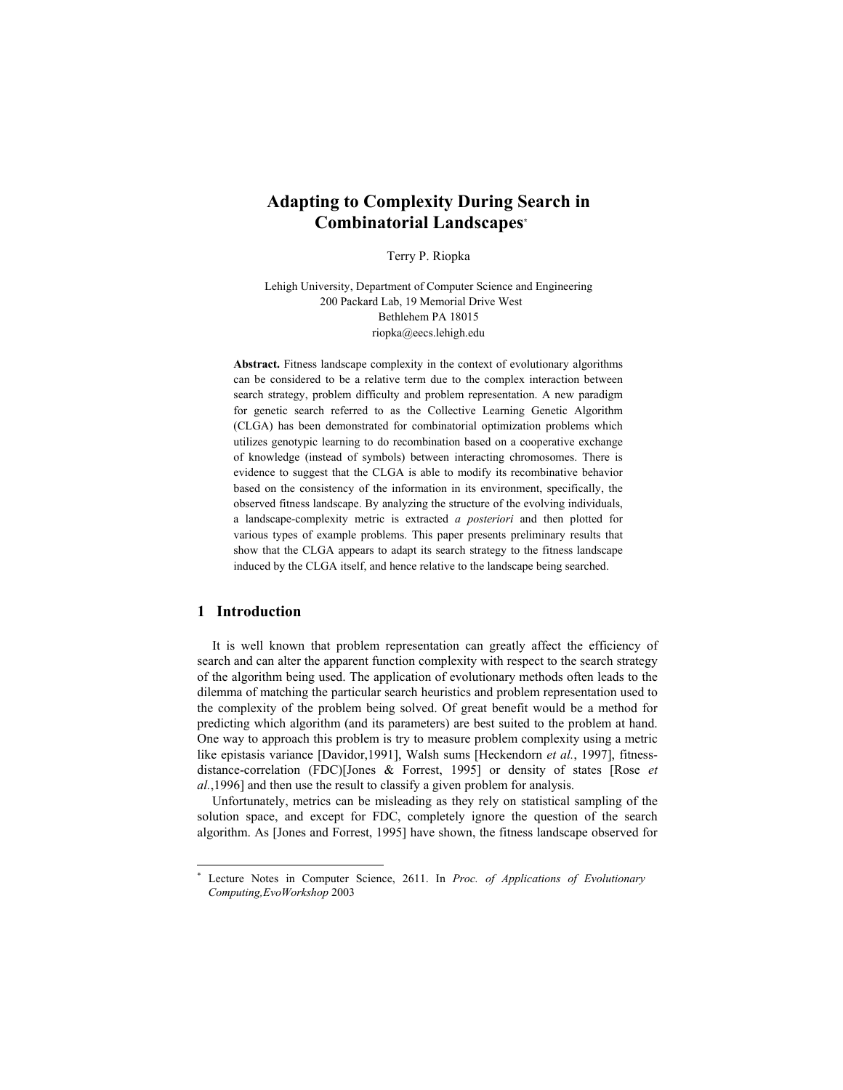# **Adapting to Complexity During Search in Combinatorial Landscapes\***

Terry P. Riopka

Lehigh University, Department of Computer Science and Engineering 200 Packard Lab, 19 Memorial Drive West Bethlehem PA 18015 riopka@eecs.lehigh.edu

**Abstract.** Fitness landscape complexity in the context of evolutionary algorithms can be considered to be a relative term due to the complex interaction between search strategy, problem difficulty and problem representation. A new paradigm for genetic search referred to as the Collective Learning Genetic Algorithm (CLGA) has been demonstrated for combinatorial optimization problems which utilizes genotypic learning to do recombination based on a cooperative exchange of knowledge (instead of symbols) between interacting chromosomes. There is evidence to suggest that the CLGA is able to modify its recombinative behavior based on the consistency of the information in its environment, specifically, the observed fitness landscape. By analyzing the structure of the evolving individuals, a landscape-complexity metric is extracted *a posteriori* and then plotted for various types of example problems. This paper presents preliminary results that show that the CLGA appears to adapt its search strategy to the fitness landscape induced by the CLGA itself, and hence relative to the landscape being searched.

# **1 Introduction**

l

It is well known that problem representation can greatly affect the efficiency of search and can alter the apparent function complexity with respect to the search strategy of the algorithm being used. The application of evolutionary methods often leads to the dilemma of matching the particular search heuristics and problem representation used to the complexity of the problem being solved. Of great benefit would be a method for predicting which algorithm (and its parameters) are best suited to the problem at hand. One way to approach this problem is try to measure problem complexity using a metric like epistasis variance [Davidor,1991], Walsh sums [Heckendorn *et al.*, 1997], fitnessdistance-correlation (FDC)[Jones & Forrest, 1995] or density of states [Rose *et al.*,1996] and then use the result to classify a given problem for analysis.

Unfortunately, metrics can be misleading as they rely on statistical sampling of the solution space, and except for FDC, completely ignore the question of the search algorithm. As [Jones and Forrest, 1995] have shown, the fitness landscape observed for

<sup>\*</sup> Lecture Notes in Computer Science, 2611. In *Proc. of Applications of Evolutionary Computing,EvoWorkshop* 2003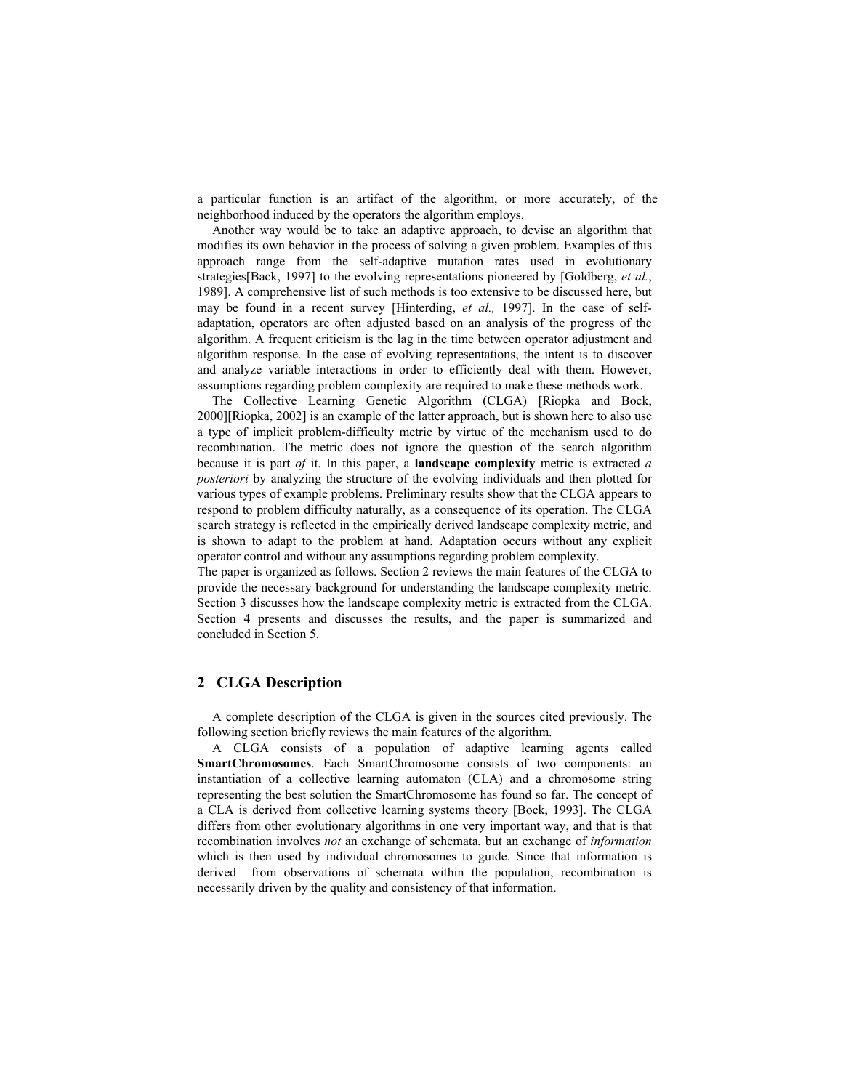a particular function is an artifact of the algorithm, or more accurately, of the neighborhood induced by the operators the algorithm employs.

Another way would be to take an adaptive approach, to devise an algorithm that modifies its own behavior in the process of solving a given problem. Examples of this approach range from the self-adaptive mutation rates used in evolutionary strategies[Back, 1997] to the evolving representations pioneered by [Goldberg, *et al.*, 1989]. A comprehensive list of such methods is too extensive to be discussed here, but may be found in a recent survey [Hinterding, *et al.,* 1997]. In the case of selfadaptation, operators are often adjusted based on an analysis of the progress of the algorithm. A frequent criticism is the lag in the time between operator adjustment and algorithm response. In the case of evolving representations, the intent is to discover and analyze variable interactions in order to efficiently deal with them. However, assumptions regarding problem complexity are required to make these methods work.

The Collective Learning Genetic Algorithm (CLGA) [Riopka and Bock, 2000][Riopka, 2002] is an example of the latter approach, but is shown here to also use a type of implicit problem-difficulty metric by virtue of the mechanism used to do recombination. The metric does not ignore the question of the search algorithm because it is part *of* it. In this paper, a **landscape complexity** metric is extracted *a posteriori* by analyzing the structure of the evolving individuals and then plotted for various types of example problems. Preliminary results show that the CLGA appears to respond to problem difficulty naturally, as a consequence of its operation. The CLGA search strategy is reflected in the empirically derived landscape complexity metric, and is shown to adapt to the problem at hand. Adaptation occurs without any explicit operator control and without any assumptions regarding problem complexity.

The paper is organized as follows. Section 2 reviews the main features of the CLGA to provide the necessary background for understanding the landscape complexity metric. Section 3 discusses how the landscape complexity metric is extracted from the CLGA. Section 4 presents and discusses the results, and the paper is summarized and concluded in Section 5.

# **2 CLGA Description**

A complete description of the CLGA is given in the sources cited previously. The following section briefly reviews the main features of the algorithm.

A CLGA consists of a population of adaptive learning agents called **SmartChromosomes**. Each SmartChromosome consists of two components: an instantiation of a collective learning automaton (CLA) and a chromosome string representing the best solution the SmartChromosome has found so far. The concept of a CLA is derived from collective learning systems theory [Bock, 1993]. The CLGA differs from other evolutionary algorithms in one very important way, and that is that recombination involves *not* an exchange of schemata, but an exchange of *information* which is then used by individual chromosomes to guide. Since that information is derived from observations of schemata within the population, recombination is necessarily driven by the quality and consistency of that information.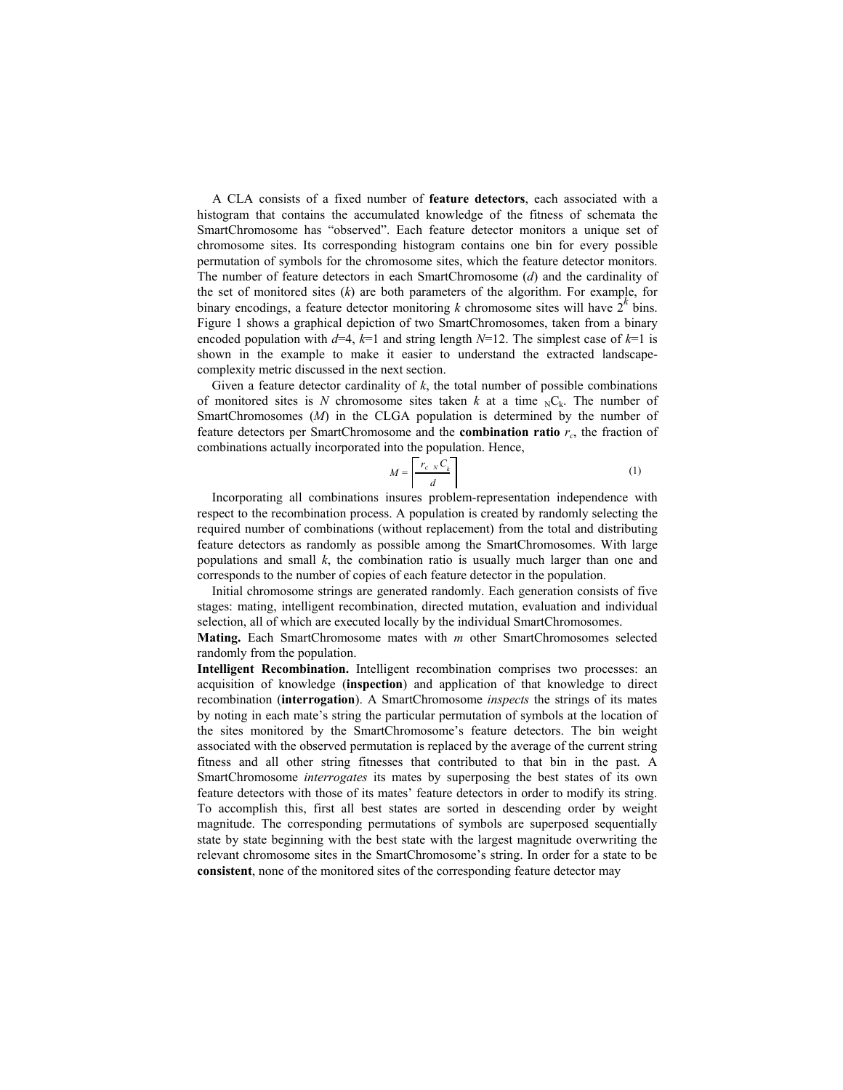A CLA consists of a fixed number of **feature detectors**, each associated with a histogram that contains the accumulated knowledge of the fitness of schemata the SmartChromosome has "observed". Each feature detector monitors a unique set of chromosome sites. Its corresponding histogram contains one bin for every possible permutation of symbols for the chromosome sites, which the feature detector monitors. The number of feature detectors in each SmartChromosome (*d*) and the cardinality of the set of monitored sites (*k*) are both parameters of the algorithm. For example, for binary encodings, a feature detector monitoring *k* chromosome sites will have  $2^k$  bins. Figure 1 shows a graphical depiction of two SmartChromosomes, taken from a binary encoded population with  $d=4$ ,  $k=1$  and string length  $N=12$ . The simplest case of  $k=1$  is shown in the example to make it easier to understand the extracted landscapecomplexity metric discussed in the next section.

Given a feature detector cardinality of  $k$ , the total number of possible combinations of monitored sites is N chromosome sites taken  $k$  at a time  ${}_{N}C_{k}$ . The number of SmartChromosomes (*M*) in the CLGA population is determined by the number of feature detectors per SmartChromosome and the **combination ratio** *rc*, the fraction of combinations actually incorporated into the population. Hence,

$$
M = \left\lceil \frac{r_{c \ N} C_k}{d} \right\rceil \tag{1}
$$

Incorporating all combinations insures problem-representation independence with respect to the recombination process. A population is created by randomly selecting the required number of combinations (without replacement) from the total and distributing feature detectors as randomly as possible among the SmartChromosomes. With large populations and small *k*, the combination ratio is usually much larger than one and corresponds to the number of copies of each feature detector in the population.

Initial chromosome strings are generated randomly. Each generation consists of five stages: mating, intelligent recombination, directed mutation, evaluation and individual selection, all of which are executed locally by the individual SmartChromosomes.

**Mating.** Each SmartChromosome mates with *m* other SmartChromosomes selected randomly from the population.

**Intelligent Recombination.** Intelligent recombination comprises two processes: an acquisition of knowledge (**inspection**) and application of that knowledge to direct recombination (**interrogation**). A SmartChromosome *inspects* the strings of its mates by noting in each mate's string the particular permutation of symbols at the location of the sites monitored by the SmartChromosome's feature detectors. The bin weight associated with the observed permutation is replaced by the average of the current string fitness and all other string fitnesses that contributed to that bin in the past. A SmartChromosome *interrogates* its mates by superposing the best states of its own feature detectors with those of its mates' feature detectors in order to modify its string. To accomplish this, first all best states are sorted in descending order by weight magnitude. The corresponding permutations of symbols are superposed sequentially state by state beginning with the best state with the largest magnitude overwriting the relevant chromosome sites in the SmartChromosome's string. In order for a state to be **consistent**, none of the monitored sites of the corresponding feature detector may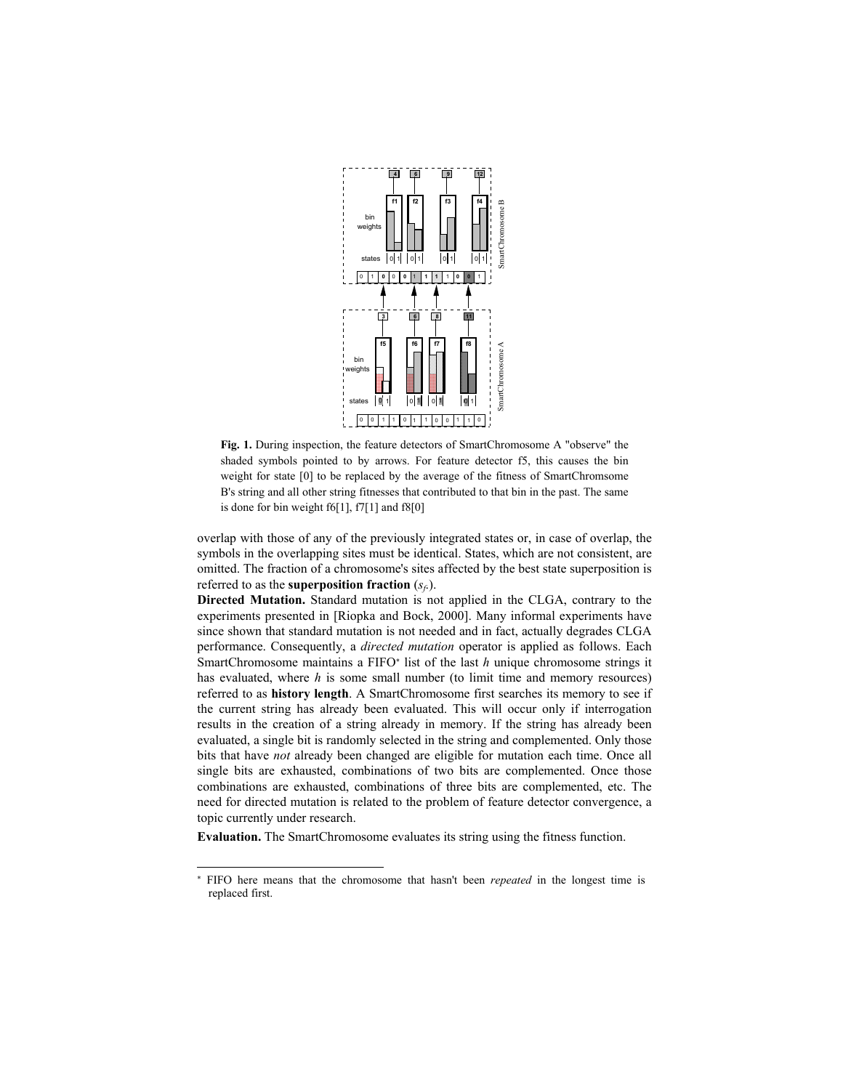

**Fig. 1.** During inspection, the feature detectors of SmartChromosome A "observe" the shaded symbols pointed to by arrows. For feature detector f5, this causes the bin weight for state [0] to be replaced by the average of the fitness of SmartChromsome B's string and all other string fitnesses that contributed to that bin in the past. The same is done for bin weight f6[1], f7[1] and f8[0]

overlap with those of any of the previously integrated states or, in case of overlap, the symbols in the overlapping sites must be identical. States, which are not consistent, are omitted. The fraction of a chromosome's sites affected by the best state superposition is referred to as the **superposition fraction**  $(s_f)$ .

**Directed Mutation.** Standard mutation is not applied in the CLGA, contrary to the experiments presented in [Riopka and Bock, 2000]. Many informal experiments have since shown that standard mutation is not needed and in fact, actually degrades CLGA performance. Consequently, a *directed mutation* operator is applied as follows. Each SmartChromosome maintains a FIFO∗ list of the last *h* unique chromosome strings it has evaluated, where *h* is some small number (to limit time and memory resources) referred to as **history length**. A SmartChromosome first searches its memory to see if the current string has already been evaluated. This will occur only if interrogation results in the creation of a string already in memory. If the string has already been evaluated, a single bit is randomly selected in the string and complemented. Only those bits that have *not* already been changed are eligible for mutation each time. Once all single bits are exhausted, combinations of two bits are complemented. Once those combinations are exhausted, combinations of three bits are complemented, etc. The need for directed mutation is related to the problem of feature detector convergence, a topic currently under research.

**Evaluation.** The SmartChromosome evaluates its string using the fitness function.

l

<sup>∗</sup> FIFO here means that the chromosome that hasn't been *repeated* in the longest time is replaced first.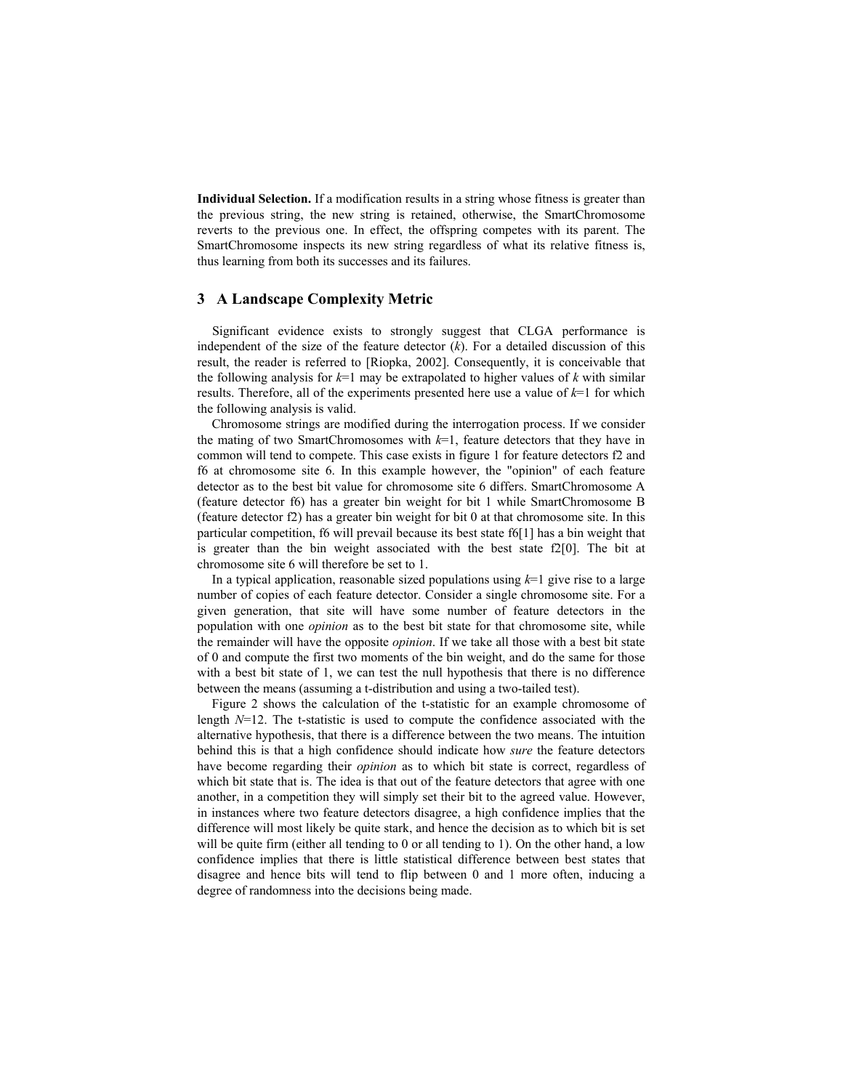**Individual Selection.** If a modification results in a string whose fitness is greater than the previous string, the new string is retained, otherwise, the SmartChromosome reverts to the previous one. In effect, the offspring competes with its parent. The SmartChromosome inspects its new string regardless of what its relative fitness is, thus learning from both its successes and its failures.

# **3 A Landscape Complexity Metric**

Significant evidence exists to strongly suggest that CLGA performance is independent of the size of the feature detector (*k*). For a detailed discussion of this result, the reader is referred to [Riopka, 2002]. Consequently, it is conceivable that the following analysis for  $k=1$  may be extrapolated to higher values of  $k$  with similar results. Therefore, all of the experiments presented here use a value of *k*=1 for which the following analysis is valid.

Chromosome strings are modified during the interrogation process. If we consider the mating of two SmartChromosomes with *k*=1, feature detectors that they have in common will tend to compete. This case exists in figure 1 for feature detectors f2 and f6 at chromosome site 6. In this example however, the "opinion" of each feature detector as to the best bit value for chromosome site 6 differs. SmartChromosome A (feature detector f6) has a greater bin weight for bit 1 while SmartChromosome B (feature detector f2) has a greater bin weight for bit 0 at that chromosome site. In this particular competition, f6 will prevail because its best state f6[1] has a bin weight that is greater than the bin weight associated with the best state  $f2[0]$ . The bit at chromosome site 6 will therefore be set to 1.

In a typical application, reasonable sized populations using *k*=1 give rise to a large number of copies of each feature detector. Consider a single chromosome site. For a given generation, that site will have some number of feature detectors in the population with one *opinion* as to the best bit state for that chromosome site, while the remainder will have the opposite *opinion*. If we take all those with a best bit state of 0 and compute the first two moments of the bin weight, and do the same for those with a best bit state of 1, we can test the null hypothesis that there is no difference between the means (assuming a t-distribution and using a two-tailed test).

Figure 2 shows the calculation of the t-statistic for an example chromosome of length *N*=12. The t-statistic is used to compute the confidence associated with the alternative hypothesis, that there is a difference between the two means. The intuition behind this is that a high confidence should indicate how *sure* the feature detectors have become regarding their *opinion* as to which bit state is correct, regardless of which bit state that is. The idea is that out of the feature detectors that agree with one another, in a competition they will simply set their bit to the agreed value. However, in instances where two feature detectors disagree, a high confidence implies that the difference will most likely be quite stark, and hence the decision as to which bit is set will be quite firm (either all tending to 0 or all tending to 1). On the other hand, a low confidence implies that there is little statistical difference between best states that disagree and hence bits will tend to flip between 0 and 1 more often, inducing a degree of randomness into the decisions being made.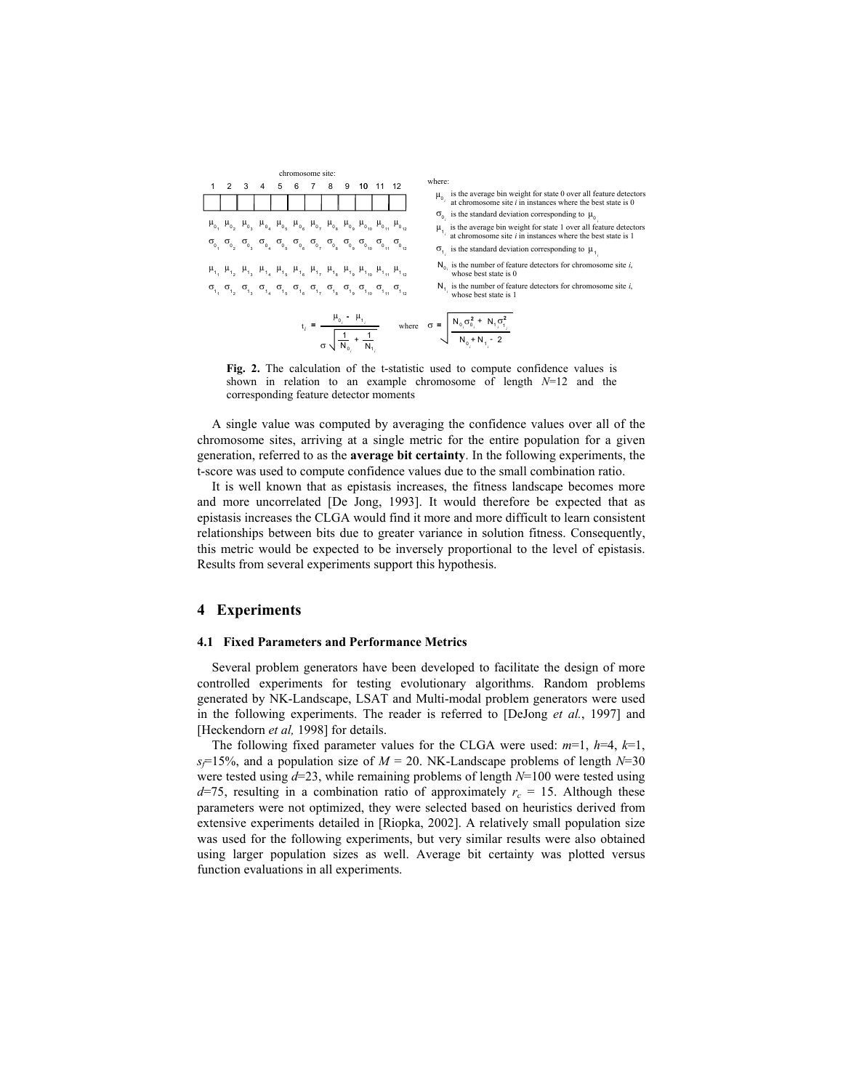| chromosome site: |         |  |  |  |                    |  |  |  |  |  |                                                                                                                                                                                                                                                                                                                                                                                                         |                                                                                                                                                           |
|------------------|---------|--|--|--|--------------------|--|--|--|--|--|---------------------------------------------------------------------------------------------------------------------------------------------------------------------------------------------------------------------------------------------------------------------------------------------------------------------------------------------------------------------------------------------------------|-----------------------------------------------------------------------------------------------------------------------------------------------------------|
|                  | 1 2 3 4 |  |  |  | 5 6 7 8 9 10 11 12 |  |  |  |  |  |                                                                                                                                                                                                                                                                                                                                                                                                         | where:                                                                                                                                                    |
|                  |         |  |  |  |                    |  |  |  |  |  |                                                                                                                                                                                                                                                                                                                                                                                                         | $\mu_{0_i}$ is the average bin weight for state 0 over all feature detectors at chromosome site <i>i</i> in instances where the best state is 0           |
|                  |         |  |  |  |                    |  |  |  |  |  |                                                                                                                                                                                                                                                                                                                                                                                                         | $\sigma_0$ is the standard deviation corresponding to $\mu_0$                                                                                             |
|                  |         |  |  |  |                    |  |  |  |  |  | $\mu_{0}$ , $\mu_{0}$ , $\mu_{0}$ , $\mu_{0}$ , $\mu_{0}$ , $\mu_{0}$ , $\mu_{0}$ , $\mu_{0}$ , $\mu_{0}$ , $\mu_{0}$ , $\mu_{0}$ , $\mu_{0}$ ,                                                                                                                                                                                                                                                         | $\mu_{i}$ is the average bin weight for state 1 over all feature detectors<br><i>i</i> at chromosome site <i>i</i> in instances where the best state is 1 |
|                  |         |  |  |  |                    |  |  |  |  |  | ${\sf o}^{\!\!\!\!\phantom{a_1}},{\sf o}^{\!\!\!\phantom{a_1}},{\sf o}^{\!\!\!\phantom{a_1}},{\sf o}^{\!\!\!\phantom{a_1}},{\sf o}^{\!\!\!\phantom{a_1}},{\sf o}^{\!\!\!\phantom{a_1}},{\sf o}^{\!\!\!\phantom{a_1}},{\sf o}^{\!\!\!\phantom{a_1}},{\sf o}^{\!\!\!\phantom{a_1}},{\sf o}^{\!\!\!\phantom{a_1}},{\sf o}^{\!\!\!\phantom{a_1}},{\sf o}^{\!\!\!\phantom{a_1}},{\sf o}^{\!\!\!\phantom{a_1$ | $\sigma$ <sub>1</sub> is the standard deviation corresponding to $\mu$ <sub>1</sub>                                                                       |
|                  |         |  |  |  |                    |  |  |  |  |  | $\mu_{1}$ , $\mu_{1}$ , $\mu_{1}$ , $\mu_{1}$ , $\mu_{1}$ , $\mu_{1}$ , $\mu_{1}$ , $\mu_{1}$ , $\mu_{1}$ , $\mu_{1}$ , $\mu_{1}$ , $\mu_{1}$ , $\mu_{1}$                                                                                                                                                                                                                                               | $N_0$ is the number of feature detectors for chromosome site i,<br>whose best state is 0                                                                  |
|                  |         |  |  |  |                    |  |  |  |  |  | $\sigma_{1}^{\prime}, \sigma_{1}^{\prime}, \sigma_{1}^{\prime}, \sigma_{1}^{\prime}, \sigma_{1}^{\prime}, \sigma_{1}^{\prime}, \sigma_{1}^{\prime}, \sigma_{1}^{\prime}, \sigma_{1}^{\prime}, \sigma_{1}^{\prime}, \sigma_{1}^{\prime}, \sigma_{1}^{\prime}$                                                                                                                                            | $N_1$ is the number of feature detectors for chromosome site i,<br>whose best state is 1                                                                  |
|                  |         |  |  |  |                    |  |  |  |  |  | $t_i = \frac{\mu_{0_i} - \mu_{1_i}}{\sqrt{\frac{1}{\mu_{0_i} + \frac{1}{N_i}}}}$ wii                                                                                                                                                                                                                                                                                                                    | where $\sigma = \sqrt{\frac{N_{0_i}\sigma_{0_i}^2 + N_{1_i}\sigma_{1_i}^2}{N_{0_i}+N_{1_i}-2}}$                                                           |

**Fig. 2.** The calculation of the t-statistic used to compute confidence values is shown in relation to an example chromosome of length *N*=12 and the corresponding feature detector moments

 $\frac{1}{N_0}$  +  $\frac{1}{N_1}$ 

A single value was computed by averaging the confidence values over all of the chromosome sites, arriving at a single metric for the entire population for a given generation, referred to as the **average bit certainty**. In the following experiments, the t-score was used to compute confidence values due to the small combination ratio.

It is well known that as epistasis increases, the fitness landscape becomes more and more uncorrelated [De Jong, 1993]. It would therefore be expected that as epistasis increases the CLGA would find it more and more difficult to learn consistent relationships between bits due to greater variance in solution fitness. Consequently, this metric would be expected to be inversely proportional to the level of epistasis. Results from several experiments support this hypothesis.

### **4 Experiments**

## **4.1 Fixed Parameters and Performance Metrics**

Several problem generators have been developed to facilitate the design of more controlled experiments for testing evolutionary algorithms. Random problems generated by NK-Landscape, LSAT and Multi-modal problem generators were used in the following experiments. The reader is referred to [DeJong *et al.*, 1997] and [Heckendorn *et al*, 1998] for details.

The following fixed parameter values for the CLGA were used:  $m=1$ ,  $h=4$ ,  $k=1$ ,  $s_f$ =15%, and a population size of  $M = 20$ . NK-Landscape problems of length *N*=30 were tested using *d*=23, while remaining problems of length *N*=100 were tested using  $d=75$ , resulting in a combination ratio of approximately  $r_c = 15$ . Although these parameters were not optimized, they were selected based on heuristics derived from extensive experiments detailed in [Riopka, 2002]. A relatively small population size was used for the following experiments, but very similar results were also obtained using larger population sizes as well. Average bit certainty was plotted versus function evaluations in all experiments.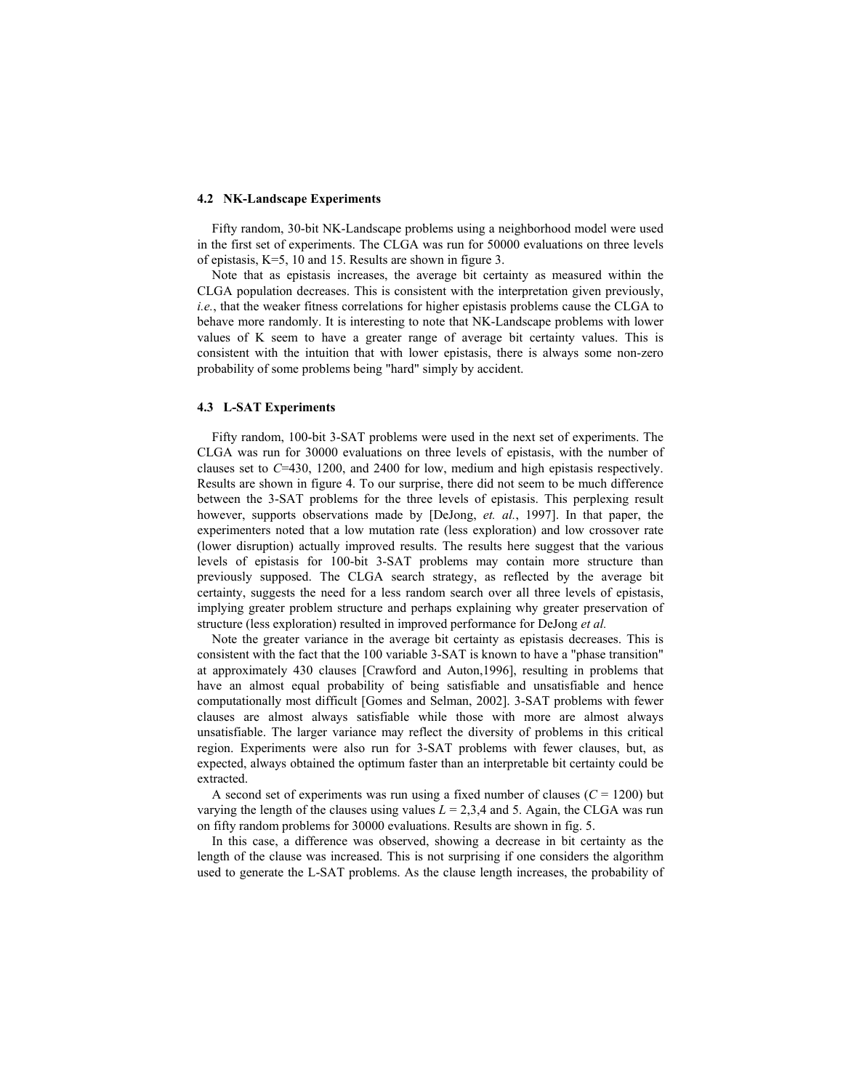#### **4.2 NK-Landscape Experiments**

Fifty random, 30-bit NK-Landscape problems using a neighborhood model were used in the first set of experiments. The CLGA was run for 50000 evaluations on three levels of epistasis, K=5, 10 and 15. Results are shown in figure 3.

Note that as epistasis increases, the average bit certainty as measured within the CLGA population decreases. This is consistent with the interpretation given previously, *i.e.*, that the weaker fitness correlations for higher epistasis problems cause the CLGA to behave more randomly. It is interesting to note that NK-Landscape problems with lower values of K seem to have a greater range of average bit certainty values. This is consistent with the intuition that with lower epistasis, there is always some non-zero probability of some problems being "hard" simply by accident.

#### **4.3 L-SAT Experiments**

Fifty random, 100-bit 3-SAT problems were used in the next set of experiments. The CLGA was run for 30000 evaluations on three levels of epistasis, with the number of clauses set to *C*=430, 1200, and 2400 for low, medium and high epistasis respectively. Results are shown in figure 4. To our surprise, there did not seem to be much difference between the 3-SAT problems for the three levels of epistasis. This perplexing result however, supports observations made by [DeJong, *et. al.*, 1997]. In that paper, the experimenters noted that a low mutation rate (less exploration) and low crossover rate (lower disruption) actually improved results. The results here suggest that the various levels of epistasis for 100-bit 3-SAT problems may contain more structure than previously supposed. The CLGA search strategy, as reflected by the average bit certainty, suggests the need for a less random search over all three levels of epistasis, implying greater problem structure and perhaps explaining why greater preservation of structure (less exploration) resulted in improved performance for DeJong *et al.*

Note the greater variance in the average bit certainty as epistasis decreases. This is consistent with the fact that the 100 variable 3-SAT is known to have a "phase transition" at approximately 430 clauses [Crawford and Auton,1996], resulting in problems that have an almost equal probability of being satisfiable and unsatisfiable and hence computationally most difficult [Gomes and Selman, 2002]. 3-SAT problems with fewer clauses are almost always satisfiable while those with more are almost always unsatisfiable. The larger variance may reflect the diversity of problems in this critical region. Experiments were also run for 3-SAT problems with fewer clauses, but, as expected, always obtained the optimum faster than an interpretable bit certainty could be extracted.

A second set of experiments was run using a fixed number of clauses  $(C = 1200)$  but varying the length of the clauses using values  $L = 2.3,4$  and 5. Again, the CLGA was run on fifty random problems for 30000 evaluations. Results are shown in fig. 5.

In this case, a difference was observed, showing a decrease in bit certainty as the length of the clause was increased. This is not surprising if one considers the algorithm used to generate the L-SAT problems. As the clause length increases, the probability of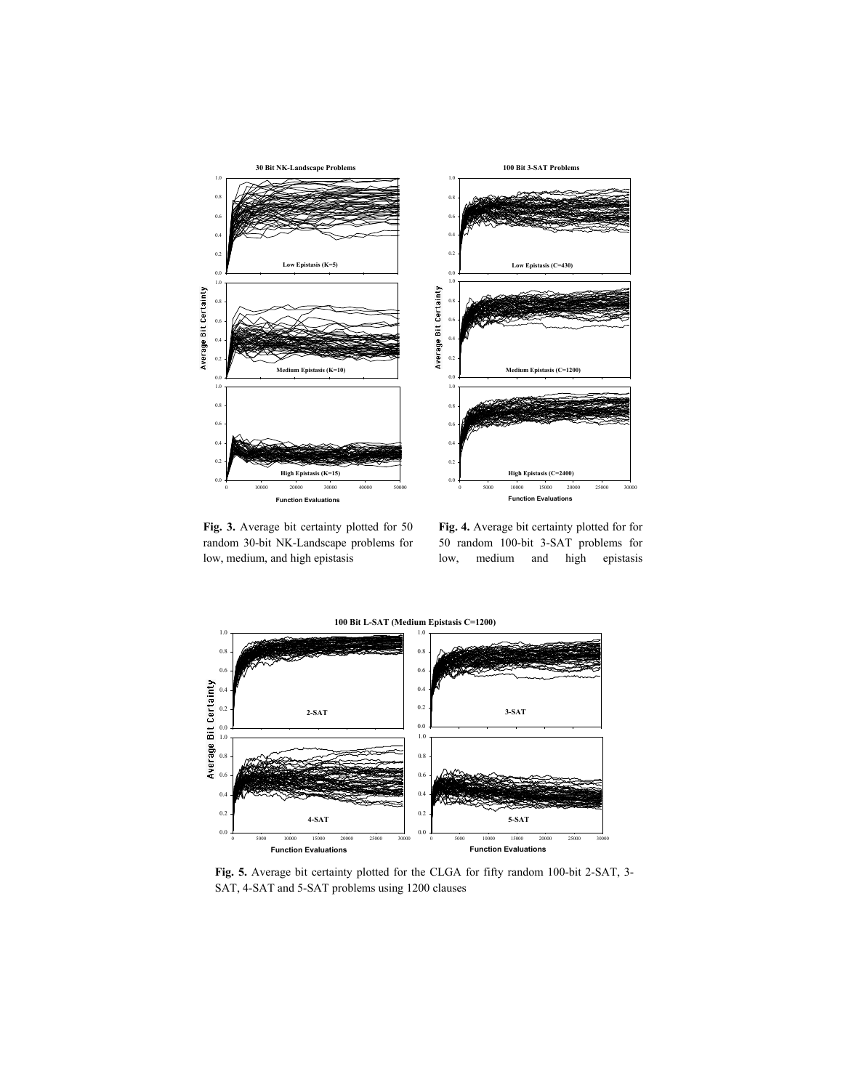

**Fig. 3.** Average bit certainty plotted for 50 random 30-bit NK-Landscape problems for low, medium, and high epistasis

**Fig. 4.** Average bit certainty plotted for for 50 random 100-bit 3-SAT problems for low, medium and high epistasis



**Fig. 5.** Average bit certainty plotted for the CLGA for fifty random 100-bit 2-SAT, 3- SAT, 4-SAT and 5-SAT problems using 1200 clauses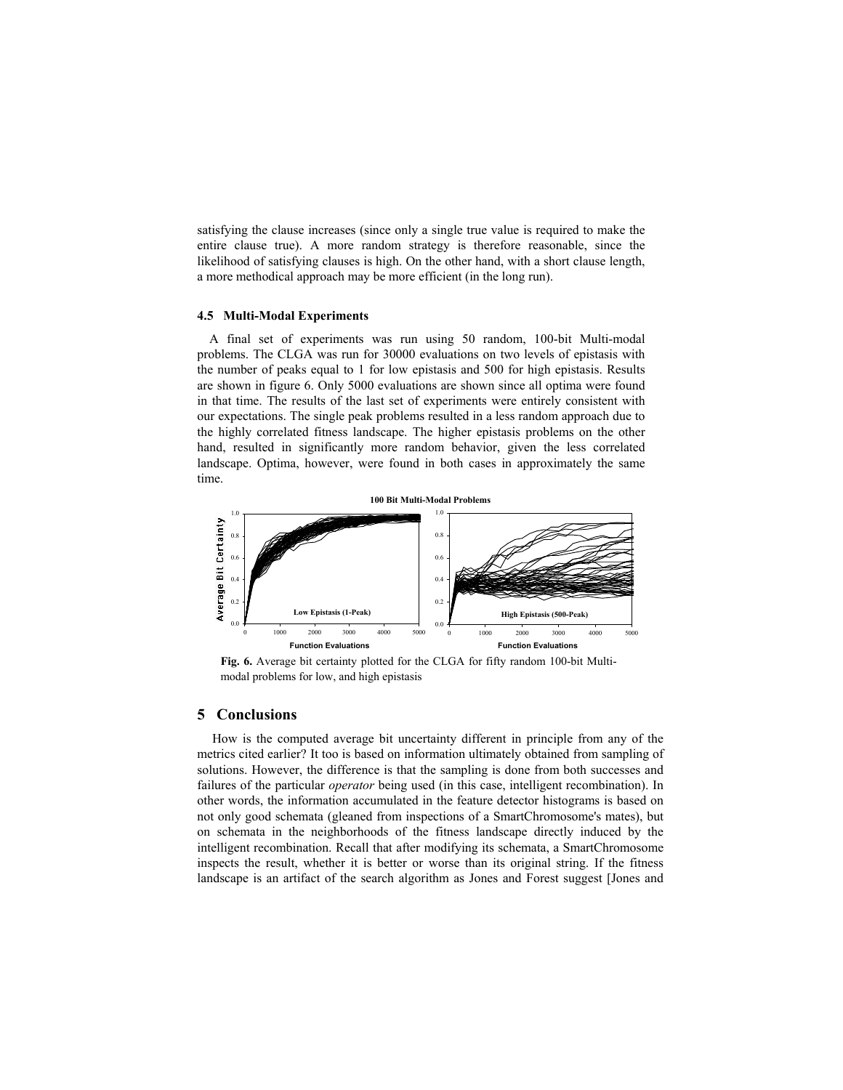satisfying the clause increases (since only a single true value is required to make the entire clause true). A more random strategy is therefore reasonable, since the likelihood of satisfying clauses is high. On the other hand, with a short clause length, a more methodical approach may be more efficient (in the long run).

#### **4.5 Multi-Modal Experiments**

A final set of experiments was run using 50 random, 100-bit Multi-modal problems. The CLGA was run for 30000 evaluations on two levels of epistasis with the number of peaks equal to 1 for low epistasis and 500 for high epistasis. Results are shown in figure 6. Only 5000 evaluations are shown since all optima were found in that time. The results of the last set of experiments were entirely consistent with our expectations. The single peak problems resulted in a less random approach due to the highly correlated fitness landscape. The higher epistasis problems on the other hand, resulted in significantly more random behavior, given the less correlated landscape. Optima, however, were found in both cases in approximately the same time.



**Fig. 6.** Average bit certainty plotted for the CLGA for fifty random 100-bit Multimodal problems for low, and high epistasis

#### **5 Conclusions**

How is the computed average bit uncertainty different in principle from any of the metrics cited earlier? It too is based on information ultimately obtained from sampling of solutions. However, the difference is that the sampling is done from both successes and failures of the particular *operator* being used (in this case, intelligent recombination). In other words, the information accumulated in the feature detector histograms is based on not only good schemata (gleaned from inspections of a SmartChromosome's mates), but on schemata in the neighborhoods of the fitness landscape directly induced by the intelligent recombination. Recall that after modifying its schemata, a SmartChromosome inspects the result, whether it is better or worse than its original string. If the fitness landscape is an artifact of the search algorithm as Jones and Forest suggest [Jones and